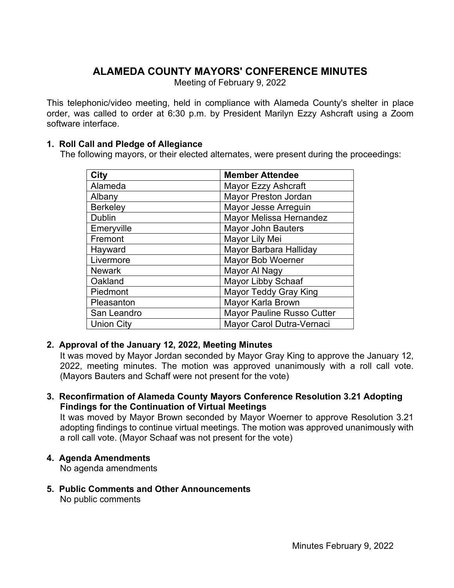# **ALAMEDA COUNTY MAYORS' CONFERENCE MINUTES**

Meeting of February 9, 2022

This telephonic/video meeting, held in compliance with Alameda County's shelter in place order, was called to order at 6:30 p.m. by President Marilyn Ezzy Ashcraft using a Zoom software interface.

#### **1. Roll Call and Pledge of Allegiance**

The following mayors, or their elected alternates, were present during the proceedings:

| City              | <b>Member Attendee</b>       |
|-------------------|------------------------------|
| Alameda           | Mayor Ezzy Ashcraft          |
| Albany            | <b>Mayor Preston Jordan</b>  |
| <b>Berkeley</b>   | Mayor Jesse Arreguin         |
| <b>Dublin</b>     | Mayor Melissa Hernandez      |
| Emeryville        | <b>Mayor John Bauters</b>    |
| Fremont           | Mayor Lily Mei               |
| Hayward           | Mayor Barbara Halliday       |
| Livermore         | Mayor Bob Woerner            |
| <b>Newark</b>     | Mayor Al Nagy                |
| Oakland           | <b>Mayor Libby Schaaf</b>    |
| Piedmont          | <b>Mayor Teddy Gray King</b> |
| Pleasanton        | Mayor Karla Brown            |
| San Leandro       | Mayor Pauline Russo Cutter   |
| <b>Union City</b> | Mayor Carol Dutra-Vernaci    |

### **2. Approval of the January 12, 2022, Meeting Minutes**

It was moved by Mayor Jordan seconded by Mayor Gray King to approve the January 12, 2022, meeting minutes. The motion was approved unanimously with a roll call vote. (Mayors Bauters and Schaff were not present for the vote)

**3. Reconfirmation of Alameda County Mayors Conference Resolution 3.21 Adopting Findings for the Continuation of Virtual Meetings**

It was moved by Mayor Brown seconded by Mayor Woerner to approve Resolution 3.21 adopting findings to continue virtual meetings. The motion was approved unanimously with a roll call vote. (Mayor Schaaf was not present for the vote)

#### **4. Agenda Amendments**

No agenda amendments

**5. Public Comments and Other Announcements** No public comments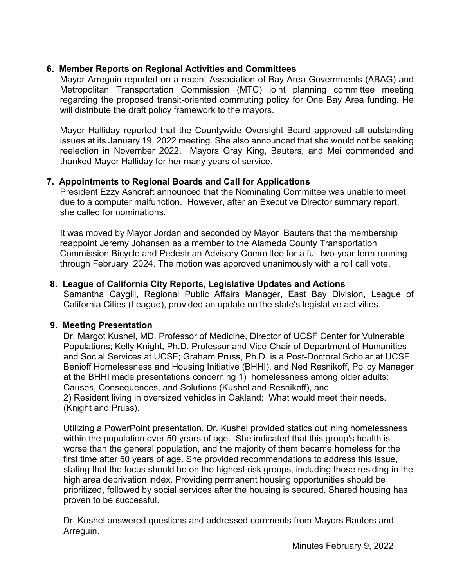### **6. Member Reports on Regional Activities and Committees**

Mayor Arreguin reported on a recent Association of Bay Area Governments (ABAG) and Metropolitan Transportation Commission (MTC) joint planning committee meeting regarding the proposed transit-oriented commuting policy for One Bay Area funding. He will distribute the draft policy framework to the mayors.

Mayor Halliday reported that the Countywide Oversight Board approved all outstanding issues at its January 19, 2022 meeting. She also announced that she would not be seeking reelection in November 2022. Mayors Gray King, Bauters, and Mei commended and thanked Mayor Halliday for her many years of service.

### **7. Appointments to Regional Boards and Call for Applications**

President Ezzy Ashcraft announced that the Nominating Committee was unable to meet due to a computer malfunction. However, after an Executive Director summary report, she called for nominations.

It was moved by Mayor Jordan and seconded by Mayor Bauters that the membership reappoint Jeremy Johansen as a member to the Alameda County Transportation Commission Bicycle and Pedestrian Advisory Committee for a full two-year term running through February 2024. The motion was approved unanimously with a roll call vote.

### **8. League of California City Reports, Legislative Updates and Actions**

Samantha Caygill, Regional Public Affairs Manager, East Bay Division, League of California Cities (League), provided an update on the state's legislative activities.

### **9. Meeting Presentation**

Dr. Margot Kushel, MD, Professor of Medicine, Director of UCSF Center for Vulnerable Populations; Kelly Knight, Ph.D. Professor and Vice-Chair of Department of Humanities and Social Services at UCSF; Graham Pruss, Ph.D. is a Post-Doctoral Scholar at UCSF Benioff Homelessness and Housing Initiative (BHHI), and Ned Resnikoff, Policy Manager at the BHHI made presentations concerning 1) homelessness among older adults: Causes, Consequences, and Solutions (Kushel and Resnikoff), and 2) Resident living in oversized vehicles in Oakland: What would meet their needs. (Knight and Pruss).

Utilizing a PowerPoint presentation, Dr. Kushel provided statics outlining homelessness within the population over 50 years of age. She indicated that this group's health is worse than the general population, and the majority of them became homeless for the first time after 50 years of age. She provided recommendations to address this issue, stating that the focus should be on the highest risk groups, including those residing in the high area deprivation index. Providing permanent housing opportunities should be prioritized, followed by social services after the housing is secured. Shared housing has proven to be successful.

Dr. Kushel answered questions and addressed comments from Mayors Bauters and Arreguin.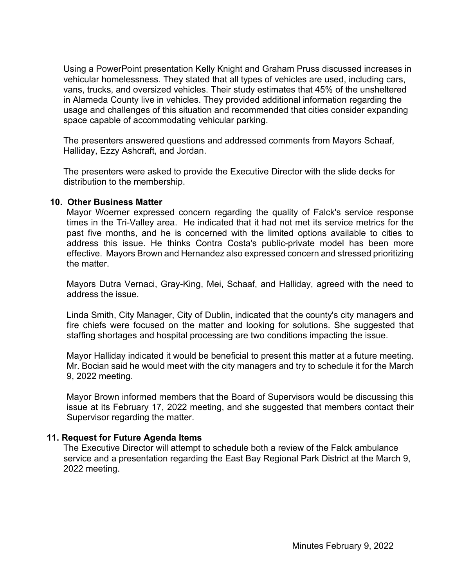Using a PowerPoint presentation Kelly Knight and Graham Pruss discussed increases in vehicular homelessness. They stated that all types of vehicles are used, including cars, vans, trucks, and oversized vehicles. Their study estimates that 45% of the unsheltered in Alameda County live in vehicles. They provided additional information regarding the usage and challenges of this situation and recommended that cities consider expanding space capable of accommodating vehicular parking.

The presenters answered questions and addressed comments from Mayors Schaaf, Halliday, Ezzy Ashcraft, and Jordan.

The presenters were asked to provide the Executive Director with the slide decks for distribution to the membership.

#### **10. Other Business Matter**

Mayor Woerner expressed concern regarding the quality of Falck's service response times in the Tri-Valley area. He indicated that it had not met its service metrics for the past five months, and he is concerned with the limited options available to cities to address this issue. He thinks Contra Costa's public-private model has been more effective. Mayors Brown and Hernandez also expressed concern and stressed prioritizing the matter.

Mayors Dutra Vernaci, Gray-King, Mei, Schaaf, and Halliday, agreed with the need to address the issue.

Linda Smith, City Manager, City of Dublin, indicated that the county's city managers and fire chiefs were focused on the matter and looking for solutions. She suggested that staffing shortages and hospital processing are two conditions impacting the issue.

Mayor Halliday indicated it would be beneficial to present this matter at a future meeting. Mr. Bocian said he would meet with the city managers and try to schedule it for the March 9, 2022 meeting.

Mayor Brown informed members that the Board of Supervisors would be discussing this issue at its February 17, 2022 meeting, and she suggested that members contact their Supervisor regarding the matter.

#### **11. Request for Future Agenda Items**

The Executive Director will attempt to schedule both a review of the Falck ambulance service and a presentation regarding the East Bay Regional Park District at the March 9, 2022 meeting.